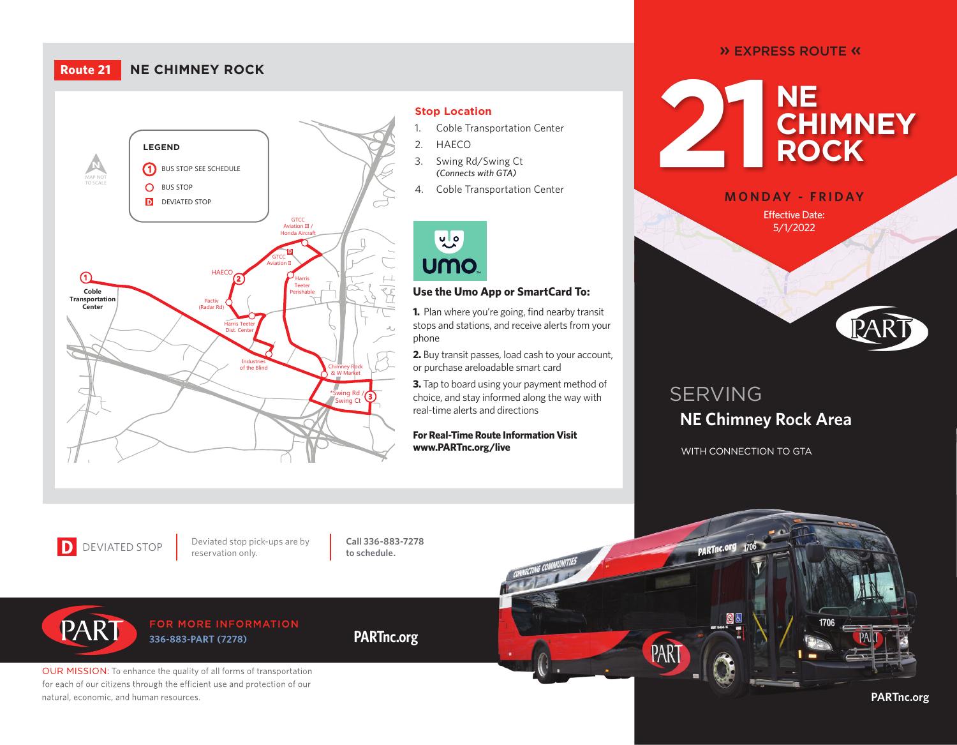## **Route 21 NE CHIMNEY ROCK**



#### **Stop Location**

- 1. Coble Transportation Center
- 2. HAECO
- (Connects with GTA) 3. Swing Rd/Swing Ct
- 4. Coble Transportation Center

WINSTON-SALEM



### **Use the Umo App or SmartCard To:**

stops and stations, and receive alerts from your<br>... **1.** Plan where you're going, find nearby transit phone

**2.** Buy transit passes, load cash to your account, or purchase areloadable smart card

**3.** Tap to board using your payment method of choice, and stay informed along the way with real-time alerts and directions

**For Real-Time Route Information Visit www.PARTnc.org/live**

## » EXPRESS ROUTE «





**GREENSBORO** 

**10**

# SERVING **NE Chimney Rock Area**

WITH CONNECTION TO GTA

DEVIATED STOP Deviated stop pion

Deviated stop pick-ups are by

**Call 336-883-7278 to schedule.**

**PARTnc.org**

PART FOR MORE INFORMATION 336-883-PART (7278)

OUR MISSION: To enhance the quality of all forms of transportation for each of our citizens through the efficient use and protection of our natural, economic, and human resources.